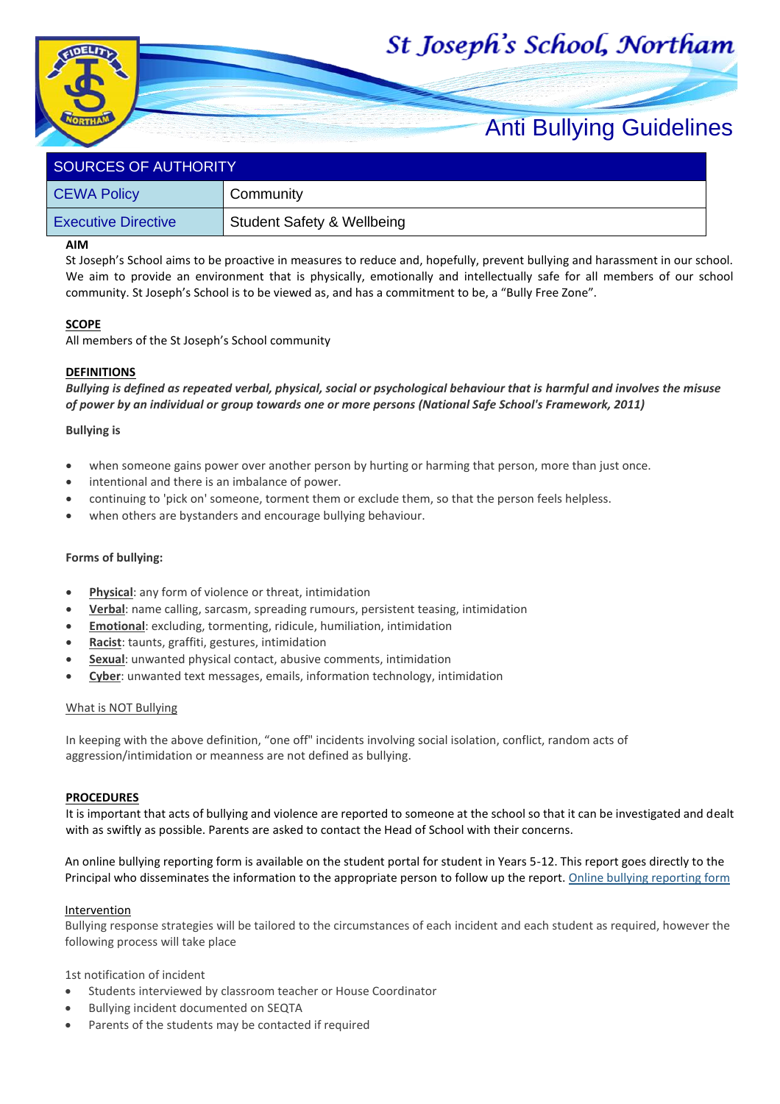# St Joseph's School, Northam



## Anti Bullying Guidelines

| <b>SOURCES OF AUTHORITY</b> |                                       |  |  |
|-----------------------------|---------------------------------------|--|--|
| <b>CEWA Policy</b>          | Community                             |  |  |
| <b>Executive Directive</b>  | <b>Student Safety &amp; Wellbeing</b> |  |  |

#### **AIM**

St Joseph's School aims to be proactive in measures to reduce and, hopefully, prevent bullying and harassment in our school. We aim to provide an environment that is physically, emotionally and intellectually safe for all members of our school community. St Joseph's School is to be viewed as, and has a commitment to be, a "Bully Free Zone".

#### **SCOPE**

All members of the St Joseph's School community

### **DEFINITIONS**

*Bullying is defined as repeated verbal, physical, social or psychological behaviour that is harmful and involves the misuse of power by an individual or group towards one or more persons (National Safe School's Framework, 2011)*

#### **Bullying is**

- when someone gains power over another person by hurting or harming that person, more than just once.
- intentional and there is an imbalance of power.
- continuing to 'pick on' someone, torment them or exclude them, so that the person feels helpless.
- when others are bystanders and encourage bullying behaviour.

#### **Forms of bullying:**

- **Physical:** any form of violence or threat, intimidation
- **Verbal**: name calling, sarcasm, spreading rumours, persistent teasing, intimidation
- **Emotional**: excluding, tormenting, ridicule, humiliation, intimidation
- **Racist**: taunts, graffiti, gestures, intimidation
- **Sexual:** unwanted physical contact, abusive comments, intimidation
- **Cyber**: unwanted text messages, emails, information technology, intimidation

#### What is NOT Bullying

In keeping with the above definition, "one off" incidents involving social isolation, conflict, random acts of aggression/intimidation or meanness are not defined as bullying.

#### **PROCEDURES**

It is important that acts of bullying and violence are reported to someone at the school so that it can be investigated and dealt with as swiftly as possible. Parents are asked to contact the Head of School with their concerns.

An online bullying reporting form is available on the student portal for student in Years 5-12. This report goes directly to the Principal who disseminates the information to the appropriate person to follow up the report. [Online bullying reporting form](https://forms.office.com/Pages/ResponsePage.aspx?id=Iy-FxTM2KU-zhlHaU-NeIz9LcpwzEcFOnreMtuMp559UN0NCUFhaVDlKS0pDUTRTWlk2SUVTOUFRMy4u)

#### **Intervention**

Bullying response strategies will be tailored to the circumstances of each incident and each student as required, however the following process will take place

1st notification of incident

- Students interviewed by classroom teacher or House Coordinator
- Bullying incident documented on SEQTA
- Parents of the students may be contacted if required